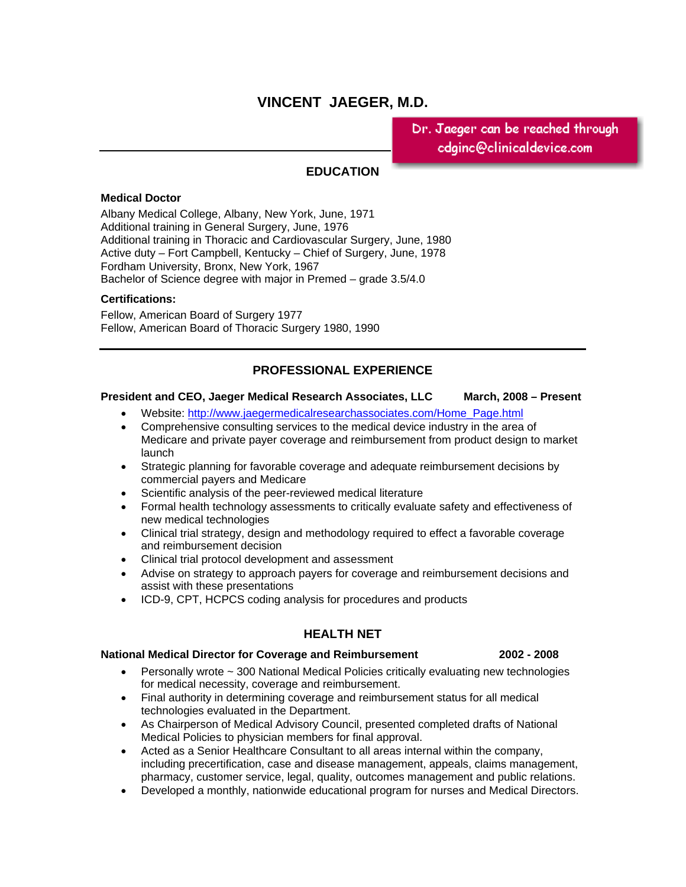# **VINCENT JAEGER, M.D.**

Dr. Jaeger can be reached through. cdginc@clinicaldevice.com

# **EDUCATION**

## **Medical Doctor**

Albany Medical College, Albany, New York, June, 1971 Additional training in General Surgery, June, 1976 Additional training in Thoracic and Cardiovascular Surgery, June, 1980 Active duty – Fort Campbell, Kentucky – Chief of Surgery, June, 1978 Fordham University, Bronx, New York, 1967 Bachelor of Science degree with major in Premed – grade 3.5/4.0

## **Certifications:**

Fellow, American Board of Surgery 1977 Fellow, American Board of Thoracic Surgery 1980, 1990

# **PROFESSIONAL EXPERIENCE**

### **President and CEO, Jaeger Medical Research Associates, LLC March, 2008 – Present**

- Website: http://www.jaegermedicalresearchassociates.com/Home\_Page.html
- Comprehensive consulting services to the medical device industry in the area of Medicare and private payer coverage and reimbursement from product design to market launch
- Strategic planning for favorable coverage and adequate reimbursement decisions by commercial payers and Medicare
- Scientific analysis of the peer-reviewed medical literature
- Formal health technology assessments to critically evaluate safety and effectiveness of new medical technologies
- Clinical trial strategy, design and methodology required to effect a favorable coverage and reimbursement decision
- Clinical trial protocol development and assessment
- Advise on strategy to approach payers for coverage and reimbursement decisions and assist with these presentations
- ICD-9, CPT, HCPCS coding analysis for procedures and products

## **HEALTH NET**

### **National Medical Director for Coverage and Reimbursement 2002 - 2008**

- Personally wrote ~ 300 National Medical Policies critically evaluating new technologies for medical necessity, coverage and reimbursement.
- Final authority in determining coverage and reimbursement status for all medical technologies evaluated in the Department.
- As Chairperson of Medical Advisory Council, presented completed drafts of National Medical Policies to physician members for final approval.
- Acted as a Senior Healthcare Consultant to all areas internal within the company, including precertification, case and disease management, appeals, claims management, pharmacy, customer service, legal, quality, outcomes management and public relations.
- Developed a monthly, nationwide educational program for nurses and Medical Directors.